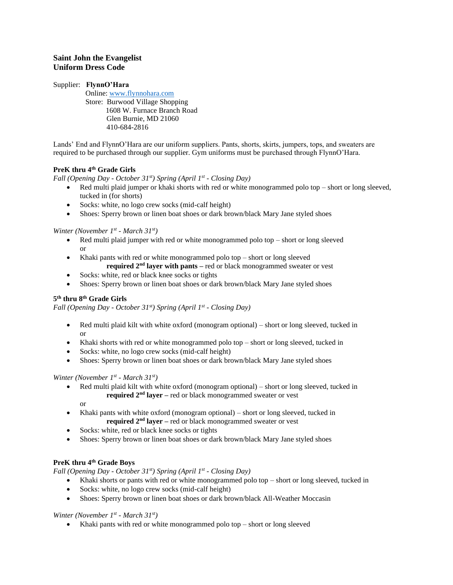# **Saint John the Evangelist Uniform Dress Code**

## Supplier: **FlynnO'Hara**

 Online: [www.flynnohara.com](http://www.flynnohara.com/) Store: Burwood Village Shopping 1608 W. Furnace Branch Road Glen Burnie, MD 21060 410-684-2816

Lands' End and FlynnO'Hara are our uniform suppliers. Pants, shorts, skirts, jumpers, tops, and sweaters are required to be purchased through our supplier. Gym uniforms must be purchased through FlynnO'Hara.

# **PreK thru 4th Grade Girls**

*Fall (Opening Day - October 31st) Spring (April 1st - Closing Day)*

- Red multi plaid jumper or khaki shorts with red or white monogrammed polo top short or long sleeved, tucked in (for shorts)
- Socks: white, no logo crew socks (mid-calf height)
- Shoes: Sperry brown or linen boat shoes or dark brown/black Mary Jane styled shoes

*Winter (November 1st - March 31st)*

- Red multi plaid jumper with red or white monogrammed polo top  $-$  short or long sleeved or
- Khaki pants with red or white monogrammed polo top short or long sleeved **required 2nd layer with pants –** red or black monogrammed sweater or vest
- Socks: white, red or black knee socks or tights
- Shoes: Sperry brown or linen boat shoes or dark brown/black Mary Jane styled shoes

# **5 th thru 8th Grade Girls**

*Fall (Opening Day - October 31st) Spring (April 1st - Closing Day)*

- Red multi plaid kilt with white oxford (monogram optional) short or long sleeved, tucked in or
- Khaki shorts with red or white monogrammed polo top short or long sleeved, tucked in
- Socks: white, no logo crew socks (mid-calf height)
- Shoes: Sperry brown or linen boat shoes or dark brown/black Mary Jane styled shoes

### *Winter (November 1st - March 31st)*

• Red multi plaid kilt with white oxford (monogram optional) – short or long sleeved, tucked in **required 2nd layer –** red or black monogrammed sweater or vest

or

- Khaki pants with white oxford (monogram optional) short or long sleeved, tucked in **required 2nd layer –** red or black monogrammed sweater or vest
- Socks: white, red or black knee socks or tights
- Shoes: Sperry brown or linen boat shoes or dark brown/black Mary Jane styled shoes

# **PreK thru 4th Grade Boys**

*Fall (Opening Day - October 31st) Spring (April 1st - Closing Day)*

- Khaki shorts or pants with red or white monogrammed polo top short or long sleeved, tucked in
- Socks: white, no logo crew socks (mid-calf height)
- Shoes: Sperry brown or linen boat shoes or dark brown/black All-Weather Moccasin

*Winter (November 1st - March 31st)*

• Khaki pants with red or white monogrammed polo top – short or long sleeved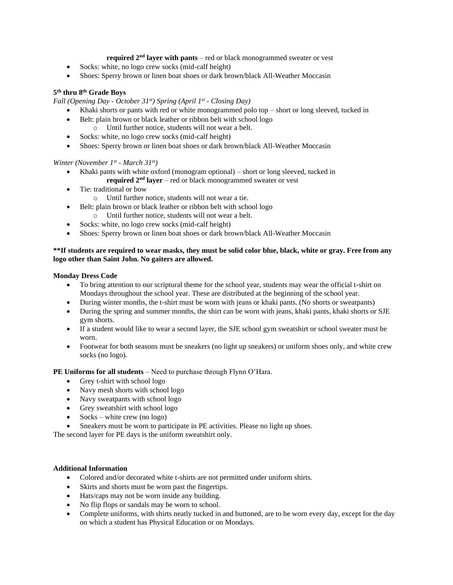### **required 2nd layer with pants** – red or black monogrammed sweater or vest

- Socks: white, no logo crew socks (mid-calf height)
- Shoes: Sperry brown or linen boat shoes or dark brown/black All-Weather Moccasin

#### **5 th thru 8th Grade Boys**

*Fall (Opening Day - October 31st) Spring (April 1st - Closing Day)*

- Khaki shorts or pants with red or white monogrammed polo top short or long sleeved, tucked in
- Belt: plain brown or black leather or ribbon belt with school logo
	- o Until further notice, students will not wear a belt.
- Socks: white, no logo crew socks (mid-calf height)
- Shoes: Sperry brown or linen boat shoes or dark brown/black All-Weather Moccasin

*Winter (November 1st - March 31st)*

- Khaki pants with white oxford (monogram optional) short or long sleeved, tucked in
- **required 2nd layer** red or black monogrammed sweater or vest
- Tie: traditional or bow
	- o Until further notice, students will not wear a tie.
- Belt: plain brown or black leather or ribbon belt with school logo
- o Until further notice, students will not wear a belt.
- Socks: white, no logo crew socks (mid-calf height)
- Shoes: Sperry brown or linen boat shoes or dark brown/black All-Weather Moccasin

### **\*\*If students are required to wear masks, they must be solid color blue, black, white or gray. Free from any logo other than Saint John. No gaiters are allowed.**

#### **Monday Dress Code**

- To bring attention to our scriptural theme for the school year, students may wear the official t-shirt on Mondays throughout the school year. These are distributed at the beginning of the school year.
- During winter months, the t-shirt must be worn with jeans or khaki pants. (No shorts or sweatpants)
- During the spring and summer months, the shirt can be worn with jeans, khaki pants, khaki shorts or SJE gym shorts.
- If a student would like to wear a second layer, the SJE school gym sweatshirt or school sweater must be worn.
- Footwear for both seasons must be sneakers (no light up sneakers) or uniform shoes only, and white crew socks (no logo).

**PE Uniforms for all students** – Need to purchase through Flynn O'Hara.

- Grey t-shirt with school logo
- Navy mesh shorts with school logo
- Navy sweatpants with school logo
- Grey sweatshirt with school logo
- Socks white crew (no logo)
- Sneakers must be worn to participate in PE activities. Please no light up shoes.

The second layer for PE days is the uniform sweatshirt only.

#### **Additional Information**

- Colored and/or decorated white t-shirts are not permitted under uniform shirts.
- Skirts and shorts must be worn past the fingertips.
- Hats/caps may not be worn inside any building.
- No flip flops or sandals may be worn to school.
- Complete uniforms, with shirts neatly tucked in and buttoned, are to be worn every day, except for the day on which a student has Physical Education or on Mondays.